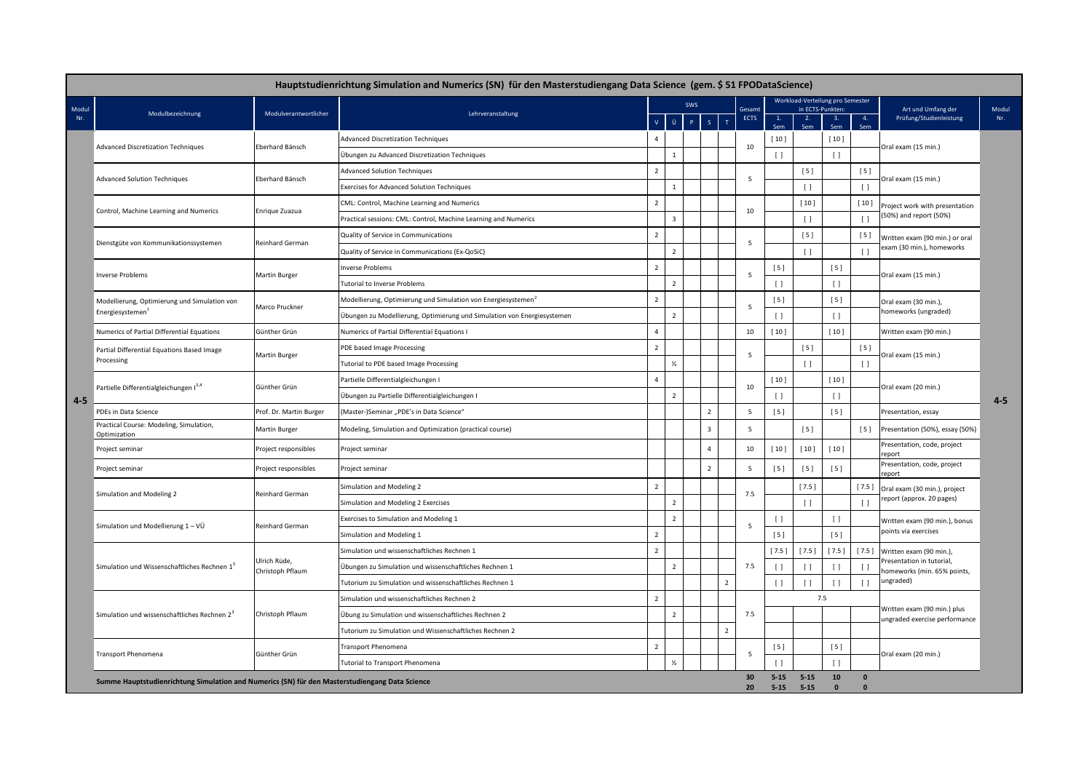|                                                                                                |                                                                              |                                  | Hauptstudienrichtung Simulation and Numerics (SN) für den Masterstudiengang Data Science (gem. \$51 FPODataScience) |                |                |  |                |                      |                      |                    |                                                      |            |          |                                                              |         |
|------------------------------------------------------------------------------------------------|------------------------------------------------------------------------------|----------------------------------|---------------------------------------------------------------------------------------------------------------------|----------------|----------------|--|----------------|----------------------|----------------------|--------------------|------------------------------------------------------|------------|----------|--------------------------------------------------------------|---------|
| Modu<br>Nr.                                                                                    |                                                                              | Modulverantwortlicher            |                                                                                                                     |                | SWS            |  |                |                      | Gesamt               |                    | Workload-Verteilung pro Semester<br>in ECTS-Punkten: |            |          | Art und Umfang der                                           | Modul   |
|                                                                                                | Modulbezeichnung                                                             |                                  | Lehrveranstaltung                                                                                                   |                | θ.             |  | $\mathsf{s}$   | $\mathbf T$          | <b>ECTS</b>          | 1.<br>Sem          | 2.<br>Sem                                            | -3.<br>Sen | 4.       | Prüfung/Studienleistung                                      | Nr.     |
|                                                                                                | <b>Advanced Discretization Techniques</b>                                    | Eberhard Bänsch                  | <b>Advanced Discretization Techniques</b>                                                                           | $\overline{4}$ |                |  |                |                      |                      | [10]               | [10]                                                 |            |          |                                                              |         |
|                                                                                                |                                                                              |                                  | Übungen zu Advanced Discretization Techniques                                                                       |                | $\mathbf{1}$   |  |                |                      | 10                   | $\Box$             |                                                      | $\lceil$   |          | Oral exam (15 min.)                                          |         |
|                                                                                                | <b>Advanced Solution Techniques</b>                                          | Eberhard Bänsch                  | <b>Advanced Solution Techniques</b>                                                                                 | $\overline{2}$ |                |  |                |                      | 5                    |                    | $[5]$                                                | [5]        |          |                                                              |         |
|                                                                                                |                                                                              |                                  | <b>Exercises for Advanced Solution Techniques</b>                                                                   |                | $\mathbf{1}$   |  |                |                      |                      |                    | $\Box$                                               |            | $\Box$   | Oral exam (15 min.)                                          | $4 - 5$ |
|                                                                                                | Control, Machine Learning and Numerics                                       | Enrique Zuazua                   | CML: Control, Machine Learning and Numerics                                                                         | $\overline{2}$ |                |  |                |                      | 10                   |                    | $[10]$                                               |            | [10]     | Project work with presentation                               |         |
|                                                                                                |                                                                              |                                  | Practical sessions: CML: Control, Machine Learning and Numerics                                                     |                | $\overline{3}$ |  |                |                      |                      |                    | $\left[\begin{array}{c}1\end{array}\right]$          |            | $\lceil$ | 50%) and report (50%)                                        |         |
|                                                                                                | Dienstgüte von Kommunikationssystemen                                        | Reinhard German                  | Quality of Service in Communications                                                                                | $\overline{2}$ |                |  |                |                      | 5                    |                    | [5]                                                  |            | $[5]$    | Written exam (90 min.) or oral                               |         |
|                                                                                                |                                                                              |                                  | Quality of Service in Communications (Ex-QoSiC)                                                                     |                | $\overline{2}$ |  |                |                      |                      |                    | $\Box$                                               |            | $\Box$   | exam (30 min.), homeworks                                    |         |
|                                                                                                | <b>Inverse Problems</b>                                                      | Martin Burger                    | <b>Inverse Problems</b>                                                                                             | $\overline{2}$ |                |  |                |                      | 5                    | [5]                |                                                      | $[5]$      |          | Oral exam (15 min.)                                          |         |
|                                                                                                |                                                                              |                                  | <b>Tutorial to Inverse Problems</b>                                                                                 |                | $\overline{2}$ |  |                |                      |                      | $\Box$             |                                                      | $\Box$     |          |                                                              |         |
|                                                                                                | Modellierung, Optimierung und Simulation von<br>Energiesystemen <sup>1</sup> | Marco Pruckner                   | Modellierung, Optimierung und Simulation von Energiesystemen <sup>2</sup>                                           | $\overline{2}$ |                |  |                |                      | 5                    | [5]                |                                                      | [5]        |          | Oral exam (30 min.),                                         |         |
|                                                                                                |                                                                              |                                  | Übungen zu Modellierung, Optimierung und Simulation von Energiesystemen                                             |                | $\overline{2}$ |  |                |                      |                      | $\Box$             |                                                      | $\lceil$   |          | nomeworks (ungraded)                                         |         |
|                                                                                                | Numerics of Partial Differential Equations                                   | Günther Grün                     | Numerics of Partial Differential Equations I                                                                        | $\overline{4}$ |                |  |                |                      | 10                   | $[10]$             |                                                      | [10]       |          | Written exam (90 min.)                                       |         |
|                                                                                                | Partial Differential Equations Based Image<br>Processing                     | Martin Burger                    | PDE based Image Processing                                                                                          | $\overline{2}$ |                |  |                |                      | 5                    |                    | [5]                                                  |            | $[5]$    | Oral exam (15 min.)                                          |         |
|                                                                                                |                                                                              |                                  | Tutorial to PDE based Image Processing                                                                              |                | $\frac{1}{2}$  |  |                |                      |                      |                    | $\Box$                                               |            | $\Box$   |                                                              |         |
|                                                                                                | Partielle Differentialgleichungen I <sup>3,4</sup>                           | Günther Grün                     | Partielle Differentialgleichungen I                                                                                 | $\overline{4}$ |                |  |                |                      | 10                   | [10]               |                                                      | [10]       |          | Oral exam (20 min.)                                          |         |
| $4 - 5$                                                                                        |                                                                              |                                  | Übungen zu Partielle Differentialgleichungen I                                                                      |                | $\overline{2}$ |  |                |                      |                      | $\Box$             |                                                      | $\lceil$   |          |                                                              |         |
|                                                                                                | PDEs in Data Science                                                         | Prof. Dr. Martin Burger          | (Master-)Seminar "PDE's in Data Science"                                                                            |                |                |  | $\overline{2}$ |                      | 5                    | [5]                |                                                      | $[5]$      |          | Presentation, essay                                          |         |
|                                                                                                | Practical Course: Modeling, Simulation,<br>Optimization                      | Martin Burger                    | Modeling, Simulation and Optimization (practical course)                                                            |                |                |  | 3              |                      | 5                    |                    | [5]                                                  |            | $[5]$    | Presentation (50%), essay (50%)                              |         |
|                                                                                                | Project seminar                                                              | Project responsibles             | Project seminar                                                                                                     |                |                |  | $\overline{a}$ |                      | 10                   | [10]               | $[10]$                                               | [10]       |          | Presentation, code, project<br>eport                         |         |
|                                                                                                | Project seminar                                                              | Project responsibles             | Project seminar                                                                                                     |                |                |  | $\overline{2}$ |                      | 5                    | [5]                | [5]                                                  | [5]        |          | Presentation, code, project<br>eport                         |         |
|                                                                                                | Simulation and Modeling 2                                                    | Reinhard German                  | Simulation and Modeling 2                                                                                           | $\overline{2}$ |                |  |                |                      | 7.5                  |                    | [7.5]                                                |            | [7.5]    | Oral exam (30 min.), project                                 |         |
|                                                                                                |                                                                              |                                  | Simulation and Modeling 2 Exercises                                                                                 |                | $\overline{2}$ |  |                |                      |                      |                    | $\left[\begin{array}{c}1\end{array}\right]$          |            | $\Box$   | eport (approx. 20 pages)                                     |         |
|                                                                                                | Simulation und Modellierung 1 - VÜ                                           | Reinhard German                  | Exercises to Simulation and Modeling 1                                                                              |                | $\overline{2}$ |  |                |                      | 5                    | $\Box$             |                                                      | $\Box$     |          | Written exam (90 min.), bonus                                |         |
|                                                                                                |                                                                              |                                  | Simulation and Modeling 1                                                                                           | $\overline{2}$ |                |  |                |                      |                      | [5]                |                                                      | [5]        |          | points via exercises                                         |         |
|                                                                                                | Simulation und Wissenschaftliches Rechnen 1 <sup>5</sup>                     | Ulrich Rüde,<br>Christoph Pflaum | Simulation und wissenschaftliches Rechnen 1                                                                         | $\overline{2}$ |                |  |                |                      |                      | [7.5]              | [7.5]                                                | $[7.5]$    | [7.5]    | Written exam (90 min.),                                      |         |
|                                                                                                |                                                                              |                                  | Übungen zu Simulation und wissenschaftliches Rechnen 1                                                              |                | $\overline{2}$ |  |                |                      | 7.5                  | $\Box$             | $\lceil$                                             | $\lceil$   | $\Box$   | Presentation in tutorial,<br>nomeworks (min. 65% points,     |         |
|                                                                                                |                                                                              |                                  | Tutorium zu Simulation und wissenschaftliches Rechnen 1                                                             |                |                |  |                | $\overline{2}$       |                      | $\Box$             | $\lceil$                                             | $\lceil$   | $\Box$   | ungraded)                                                    |         |
|                                                                                                | Simulation und wissenschaftliches Rechnen 2 <sup>3</sup>                     | Christoph Pflaum                 | Simulation und wissenschaftliches Rechnen 2                                                                         | $\overline{2}$ |                |  |                |                      |                      |                    | 7.5                                                  |            |          |                                                              |         |
|                                                                                                |                                                                              |                                  | Übung zu Simulation und wissenschaftliches Rechnen 2                                                                |                | $\overline{2}$ |  |                |                      | 7.5                  |                    |                                                      |            |          | Written exam (90 min.) plus<br>ungraded exercise performance |         |
|                                                                                                |                                                                              |                                  | Tutorium zu Simulation und Wissenschaftliches Rechnen 2                                                             |                |                |  |                | $\overline{z}$       |                      |                    |                                                      |            |          |                                                              |         |
|                                                                                                | <b>Transport Phenomena</b>                                                   | Günther Grün                     | Transport Phenomena                                                                                                 | $\overline{2}$ |                |  |                |                      | 5                    | $[5]$              |                                                      | $[5]$      |          | Oral exam (20 min.)                                          |         |
|                                                                                                |                                                                              |                                  | <b>Tutorial to Transport Phenomena</b>                                                                              |                | $\frac{1}{2}$  |  |                |                      |                      | $\Box$             |                                                      | $\Box$     |          |                                                              |         |
| Summe Hauptstudienrichtung Simulation and Numerics (SN) für den Masterstudiengang Data Science |                                                                              |                                  |                                                                                                                     |                |                |  | 30<br>20       | $5 - 15$<br>$5 - 15$ | $5 - 15$<br>$5 - 15$ | 10<br>$\mathbf{0}$ | $\mathbf{0}$<br>$\mathbf{0}$                         |            |          |                                                              |         |